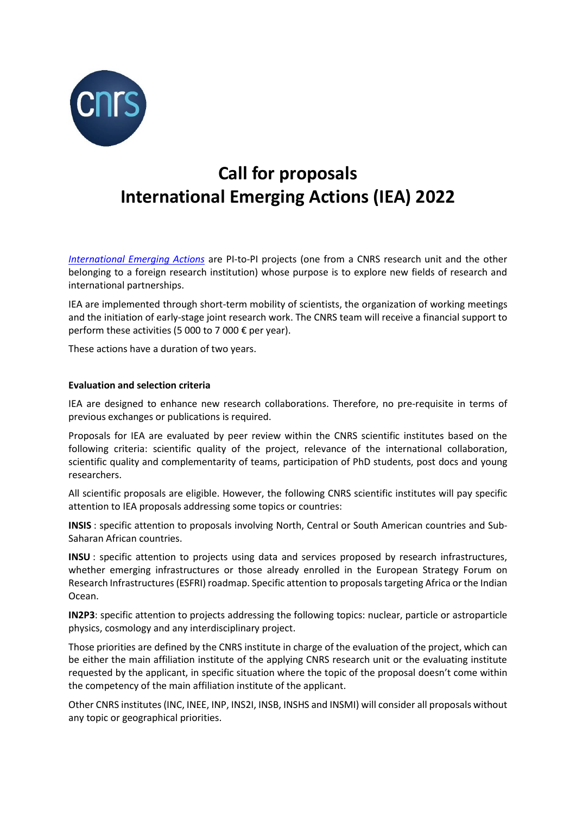

# **Call for proposals International Emerging Actions (IEA) 2022**

*[International Emerging Actions](https://international.cnrs.fr/wp-content/uploads/2020/06/ENG_IEA_2020.pdf)* are PI-to-PI projects (one from a CNRS research unit and the other belonging to a foreign research institution) whose purpose is to explore new fields of research and international partnerships.

IEA are implemented through short-term mobility of scientists, the organization of working meetings and the initiation of early-stage joint research work. The CNRS team will receive a financial support to perform these activities (5 000 to 7 000  $\epsilon$  per year).

These actions have a duration of two years.

# **Evaluation and selection criteria**

IEA are designed to enhance new research collaborations. Therefore, no pre-requisite in terms of previous exchanges or publications is required.

Proposals for IEA are evaluated by peer review within the CNRS scientific institutes based on the following criteria: scientific quality of the project, relevance of the international collaboration, scientific quality and complementarity of teams, participation of PhD students, post docs and young researchers.

All scientific proposals are eligible. However, the following CNRS scientific institutes will pay specific attention to IEA proposals addressing some topics or countries:

**INSIS** : specific attention to proposals involving North, Central or South American countries and Sub-Saharan African countries.

**INSU** : specific attention to projects using data and services proposed by research infrastructures, whether emerging infrastructures or those already enrolled in the European Strategy Forum on Research Infrastructures (ESFRI) roadmap. Specific attention to proposals targeting Africa or the Indian Ocean.

**IN2P3**: specific attention to projects addressing the following topics: nuclear, particle or astroparticle physics, cosmology and any interdisciplinary project.

Those priorities are defined by the CNRS institute in charge of the evaluation of the project, which can be either the main affiliation institute of the applying CNRS research unit or the evaluating institute requested by the applicant, in specific situation where the topic of the proposal doesn't come within the competency of the main affiliation institute of the applicant.

Other CNRS institutes (INC, INEE, INP, INS2I, INSB, INSHS and INSMI) will consider all proposals without any topic or geographical priorities.